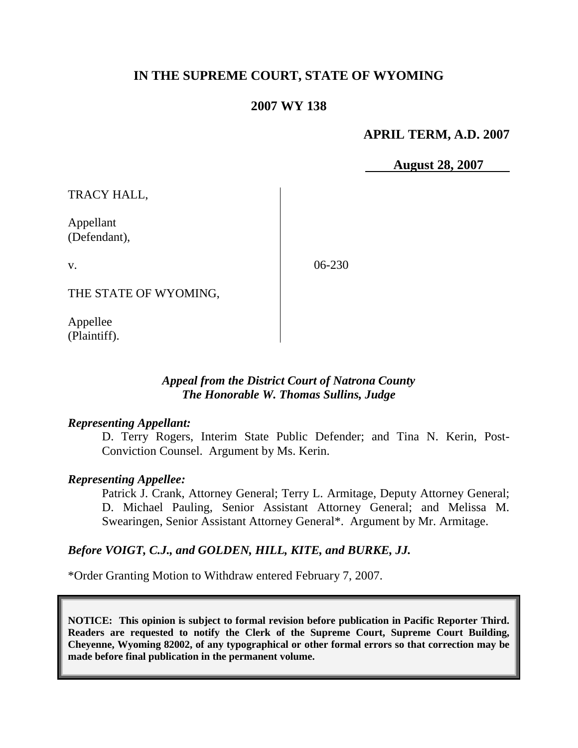# **IN THE SUPREME COURT, STATE OF WYOMING**

# **2007 WY 138**

### **APRIL TERM, A.D. 2007**

 **August 28, 2007**

TRACY HALL,

Appellant (Defendant),

v.

06-230

THE STATE OF WYOMING,

Appellee (Plaintiff).

### *Appeal from the District Court of Natrona County The Honorable W. Thomas Sullins, Judge*

#### *Representing Appellant:*

D. Terry Rogers, Interim State Public Defender; and Tina N. Kerin, Post-Conviction Counsel. Argument by Ms. Kerin.

### *Representing Appellee:*

Patrick J. Crank, Attorney General; Terry L. Armitage, Deputy Attorney General; D. Michael Pauling, Senior Assistant Attorney General; and Melissa M. Swearingen, Senior Assistant Attorney General\*. Argument by Mr. Armitage.

### *Before VOIGT, C.J., and GOLDEN, HILL, KITE, and BURKE, JJ.*

\*Order Granting Motion to Withdraw entered February 7, 2007.

**NOTICE: This opinion is subject to formal revision before publication in Pacific Reporter Third. Readers are requested to notify the Clerk of the Supreme Court, Supreme Court Building, Cheyenne, Wyoming 82002, of any typographical or other formal errors so that correction may be made before final publication in the permanent volume.**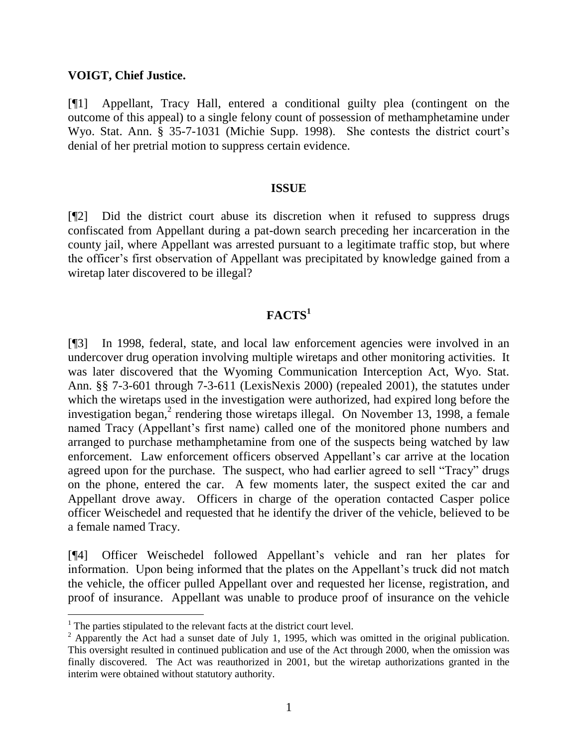### **VOIGT, Chief Justice.**

[¶1] Appellant, Tracy Hall, entered a conditional guilty plea (contingent on the outcome of this appeal) to a single felony count of possession of methamphetamine under Wyo. Stat. Ann. § 35-7-1031 (Michie Supp. 1998). She contests the district court's denial of her pretrial motion to suppress certain evidence.

#### **ISSUE**

[¶2] Did the district court abuse its discretion when it refused to suppress drugs confiscated from Appellant during a pat-down search preceding her incarceration in the county jail, where Appellant was arrested pursuant to a legitimate traffic stop, but where the officer"s first observation of Appellant was precipitated by knowledge gained from a wiretap later discovered to be illegal?

# **FACTS<sup>1</sup>**

[¶3] In 1998, federal, state, and local law enforcement agencies were involved in an undercover drug operation involving multiple wiretaps and other monitoring activities. It was later discovered that the Wyoming Communication Interception Act, Wyo. Stat. Ann. §§ 7-3-601 through 7-3-611 (LexisNexis 2000) (repealed 2001), the statutes under which the wiretaps used in the investigation were authorized, had expired long before the investigation began,<sup>2</sup> rendering those wiretaps illegal. On November 13, 1998, a female named Tracy (Appellant's first name) called one of the monitored phone numbers and arranged to purchase methamphetamine from one of the suspects being watched by law enforcement. Law enforcement officers observed Appellant's car arrive at the location agreed upon for the purchase. The suspect, who had earlier agreed to sell "Tracy" drugs on the phone, entered the car. A few moments later, the suspect exited the car and Appellant drove away. Officers in charge of the operation contacted Casper police officer Weischedel and requested that he identify the driver of the vehicle, believed to be a female named Tracy.

[¶4] Officer Weischedel followed Appellant"s vehicle and ran her plates for information. Upon being informed that the plates on the Appellant"s truck did not match the vehicle, the officer pulled Appellant over and requested her license, registration, and proof of insurance. Appellant was unable to produce proof of insurance on the vehicle

 $\overline{a}$ 

<sup>&</sup>lt;sup>1</sup> The parties stipulated to the relevant facts at the district court level.

<sup>&</sup>lt;sup>2</sup> Apparently the Act had a sunset date of July 1, 1995, which was omitted in the original publication. This oversight resulted in continued publication and use of the Act through 2000, when the omission was finally discovered. The Act was reauthorized in 2001, but the wiretap authorizations granted in the interim were obtained without statutory authority.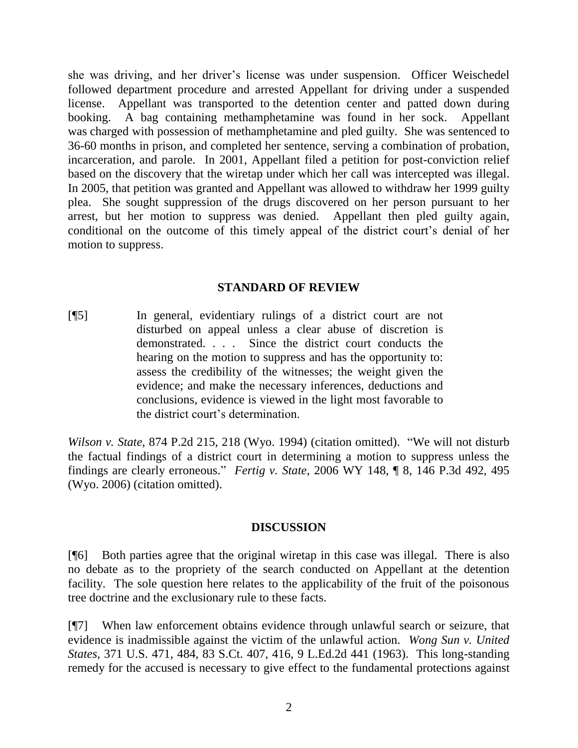she was driving, and her driver"s license was under suspension. Officer Weischedel followed department procedure and arrested Appellant for driving under a suspended license. Appellant was transported to the detention center and patted down during booking. A bag containing methamphetamine was found in her sock. Appellant was charged with possession of methamphetamine and pled guilty. She was sentenced to 36-60 months in prison, and completed her sentence, serving a combination of probation, incarceration, and parole. In 2001, Appellant filed a petition for post-conviction relief based on the discovery that the wiretap under which her call was intercepted was illegal. In 2005, that petition was granted and Appellant was allowed to withdraw her 1999 guilty plea. She sought suppression of the drugs discovered on her person pursuant to her arrest, but her motion to suppress was denied. Appellant then pled guilty again, conditional on the outcome of this timely appeal of the district court's denial of her motion to suppress.

### **STANDARD OF REVIEW**

[¶5] In general, evidentiary rulings of a district court are not disturbed on appeal unless a clear abuse of discretion is demonstrated. . . . Since the district court conducts the hearing on the motion to suppress and has the opportunity to: assess the credibility of the witnesses; the weight given the evidence; and make the necessary inferences, deductions and conclusions, evidence is viewed in the light most favorable to the district court"s determination.

*Wilson v. State*, 874 P.2d 215, 218 (Wyo. 1994) (citation omitted). "We will not disturb the factual findings of a district court in determining a motion to suppress unless the findings are clearly erroneous." *Fertig v. State*, 2006 WY 148, ¶ 8, 146 P.3d 492, 495 (Wyo. 2006) (citation omitted).

### **DISCUSSION**

[¶6] Both parties agree that the original wiretap in this case was illegal. There is also no debate as to the propriety of the search conducted on Appellant at the detention facility. The sole question here relates to the applicability of the fruit of the poisonous tree doctrine and the exclusionary rule to these facts.

[¶7] When law enforcement obtains evidence through unlawful search or seizure, that evidence is inadmissible against the victim of the unlawful action. *Wong Sun v. United States*, 371 U.S. 471, 484, 83 S.Ct. 407, 416, 9 L.Ed.2d 441 (1963). This long-standing remedy for the accused is necessary to give effect to the fundamental protections against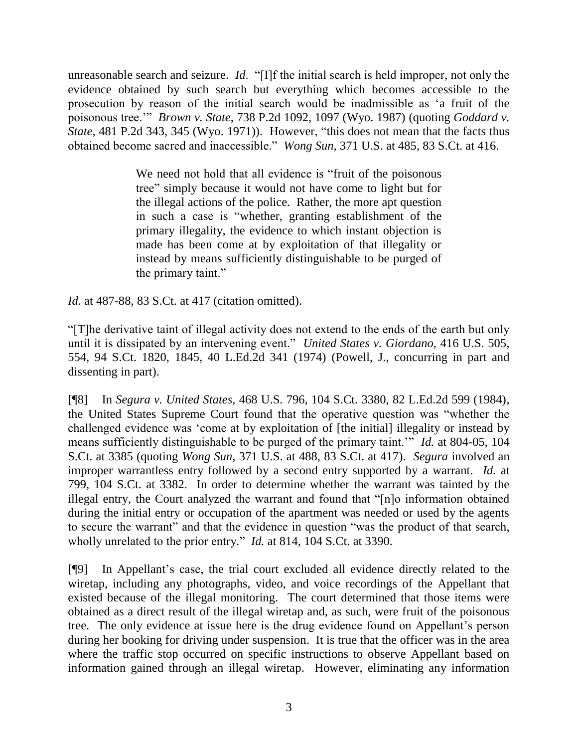unreasonable search and seizure. *Id*. "[I]f the initial search is held improper, not only the evidence obtained by such search but everything which becomes accessible to the prosecution by reason of the initial search would be inadmissible as "a fruit of the poisonous tree."" *Brown v. State*, 738 P.2d 1092, 1097 (Wyo. 1987) (quoting *Goddard v. State*, 481 P.2d 343, 345 (Wyo. 1971)). However, "this does not mean that the facts thus obtained become sacred and inaccessible." *Wong Sun*, 371 U.S. at 485, 83 S.Ct. at 416.

> We need not hold that all evidence is "fruit of the poisonous tree" simply because it would not have come to light but for the illegal actions of the police. Rather, the more apt question in such a case is "whether, granting establishment of the primary illegality, the evidence to which instant objection is made has been come at by exploitation of that illegality or instead by means sufficiently distinguishable to be purged of the primary taint."

*Id.* at 487-88, 83 S.Ct. at 417 (citation omitted).

"[T]he derivative taint of illegal activity does not extend to the ends of the earth but only until it is dissipated by an intervening event." *United States v. Giordano*, 416 U.S. 505, 554, 94 S.Ct. 1820, 1845, 40 L.Ed.2d 341 (1974) (Powell, J., concurring in part and dissenting in part).

[¶8] In *Segura v. United States*, 468 U.S. 796, 104 S.Ct. 3380, 82 L.Ed.2d 599 (1984), the United States Supreme Court found that the operative question was "whether the challenged evidence was "come at by exploitation of [the initial] illegality or instead by means sufficiently distinguishable to be purged of the primary taint."" *Id.* at 804-05, 104 S.Ct. at 3385 (quoting *Wong Sun*, 371 U.S. at 488, 83 S.Ct. at 417). *Segura* involved an improper warrantless entry followed by a second entry supported by a warrant. *Id.* at 799, 104 S.Ct. at 3382. In order to determine whether the warrant was tainted by the illegal entry, the Court analyzed the warrant and found that "[n]o information obtained during the initial entry or occupation of the apartment was needed or used by the agents to secure the warrant" and that the evidence in question "was the product of that search, wholly unrelated to the prior entry." *Id.* at 814, 104 S.Ct. at 3390.

[¶9] In Appellant"s case, the trial court excluded all evidence directly related to the wiretap, including any photographs, video, and voice recordings of the Appellant that existed because of the illegal monitoring. The court determined that those items were obtained as a direct result of the illegal wiretap and, as such, were fruit of the poisonous tree. The only evidence at issue here is the drug evidence found on Appellant"s person during her booking for driving under suspension. It is true that the officer was in the area where the traffic stop occurred on specific instructions to observe Appellant based on information gained through an illegal wiretap. However, eliminating any information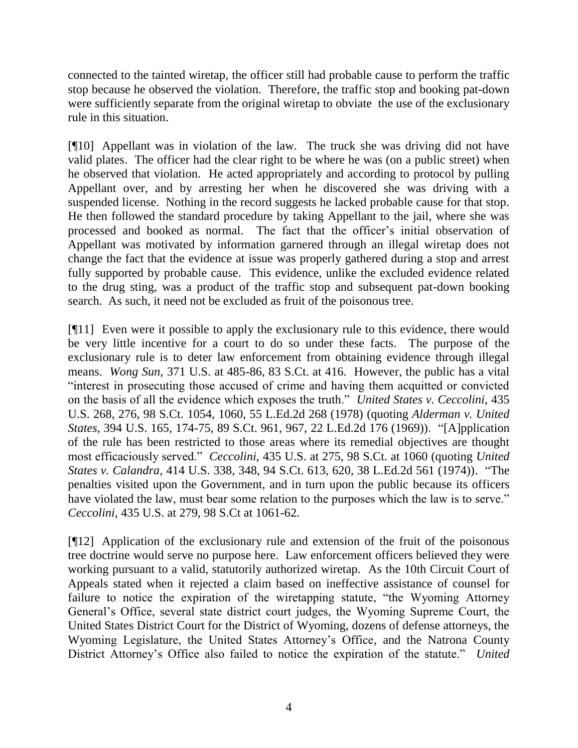connected to the tainted wiretap, the officer still had probable cause to perform the traffic stop because he observed the violation. Therefore, the traffic stop and booking pat-down were sufficiently separate from the original wiretap to obviate the use of the exclusionary rule in this situation.

[¶10] Appellant was in violation of the law. The truck she was driving did not have valid plates. The officer had the clear right to be where he was (on a public street) when he observed that violation. He acted appropriately and according to protocol by pulling Appellant over, and by arresting her when he discovered she was driving with a suspended license. Nothing in the record suggests he lacked probable cause for that stop. He then followed the standard procedure by taking Appellant to the jail, where she was processed and booked as normal. The fact that the officer"s initial observation of Appellant was motivated by information garnered through an illegal wiretap does not change the fact that the evidence at issue was properly gathered during a stop and arrest fully supported by probable cause. This evidence, unlike the excluded evidence related to the drug sting, was a product of the traffic stop and subsequent pat-down booking search. As such, it need not be excluded as fruit of the poisonous tree.

[¶11] Even were it possible to apply the exclusionary rule to this evidence, there would be very little incentive for a court to do so under these facts. The purpose of the exclusionary rule is to deter law enforcement from obtaining evidence through illegal means. *Wong Sun*, 371 U.S. at 485-86, 83 S.Ct. at 416. However, the public has a vital "interest in prosecuting those accused of crime and having them acquitted or convicted on the basis of all the evidence which exposes the truth." *United States v. Ceccolini*, 435 U.S. 268, 276, 98 S.Ct. 1054, 1060, 55 L.Ed.2d 268 (1978) (quoting *Alderman v. United States*, 394 U.S. 165, 174-75, 89 S.Ct. 961, 967, 22 L.Ed.2d 176 (1969)). "[A]pplication of the rule has been restricted to those areas where its remedial objectives are thought most efficaciously served." *Ceccolini*, 435 U.S. at 275, 98 S.Ct. at 1060 (quoting *United States v. Calandra*, 414 U.S. 338, 348, 94 S.Ct. 613, 620, 38 L.Ed.2d 561 (1974)). "The penalties visited upon the Government, and in turn upon the public because its officers have violated the law, must bear some relation to the purposes which the law is to serve." *Ceccolini*, 435 U.S. at 279, 98 S.Ct at 1061-62.

[¶12] Application of the exclusionary rule and extension of the fruit of the poisonous tree doctrine would serve no purpose here. Law enforcement officers believed they were working pursuant to a valid, statutorily authorized wiretap. As the 10th Circuit Court of Appeals stated when it rejected a claim based on ineffective assistance of counsel for failure to notice the expiration of the wiretapping statute, "the Wyoming Attorney General"s Office, several state district court judges, the Wyoming Supreme Court, the United States District Court for the District of Wyoming, dozens of defense attorneys, the Wyoming Legislature, the United States Attorney"s Office, and the Natrona County District Attorney"s Office also failed to notice the expiration of the statute." *United*